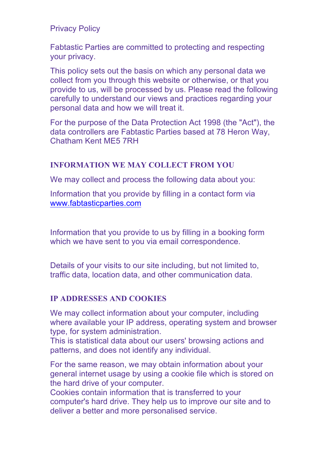Privacy Policy

Fabtastic Parties are committed to protecting and respecting your privacy.

This policy sets out the basis on which any personal data we collect from you through this website or otherwise, or that you provide to us, will be processed by us. Please read the following carefully to understand our views and practices regarding your personal data and how we will treat it.

For the purpose of the Data Protection Act 1998 (the "Act"), the data controllers are Fabtastic Parties based at 78 Heron Way, Chatham Kent ME5 7RH

#### **INFORMATION WE MAY COLLECT FROM YOU**

We may collect and process the following data about you:

Information that you provide by filling in a contact form via www.fabtasticparties.com

Information that you provide to us by filling in a booking form which we have sent to you via email correspondence.

Details of your visits to our site including, but not limited to, traffic data, location data, and other communication data.

# **IP ADDRESSES AND COOKIES**

We may collect information about your computer, including where available your IP address, operating system and browser type, for system administration.

This is statistical data about our users' browsing actions and patterns, and does not identify any individual.

For the same reason, we may obtain information about your general internet usage by using a cookie file which is stored on the hard drive of your computer.

Cookies contain information that is transferred to your computer's hard drive. They help us to improve our site and to deliver a better and more personalised service.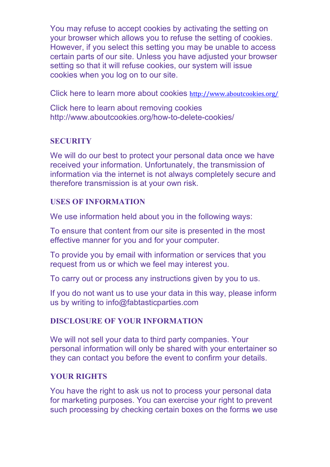You may refuse to accept cookies by activating the setting on your browser which allows you to refuse the setting of cookies. However, if you select this setting you may be unable to access certain parts of our site. Unless you have adjusted your browser setting so that it will refuse cookies, our system will issue cookies when you log on to our site.

Click here to learn more about cookies http://www.aboutcookies.org/

Click here to learn about removing cookies http://www.aboutcookies.org/how-to-delete-cookies/

#### **SECURITY**

We will do our best to protect your personal data once we have received your information. Unfortunately, the transmission of information via the internet is not always completely secure and therefore transmission is at your own risk.

#### **USES OF INFORMATION**

We use information held about you in the following ways:

To ensure that content from our site is presented in the most effective manner for you and for your computer.

To provide you by email with information or services that you request from us or which we feel may interest you.

To carry out or process any instructions given by you to us.

If you do not want us to use your data in this way, please inform us by writing to info@fabtasticparties.com

# **DISCLOSURE OF YOUR INFORMATION**

We will not sell your data to third party companies. Your personal information will only be shared with your entertainer so they can contact you before the event to confirm your details.

# **YOUR RIGHTS**

You have the right to ask us not to process your personal data for marketing purposes. You can exercise your right to prevent such processing by checking certain boxes on the forms we use